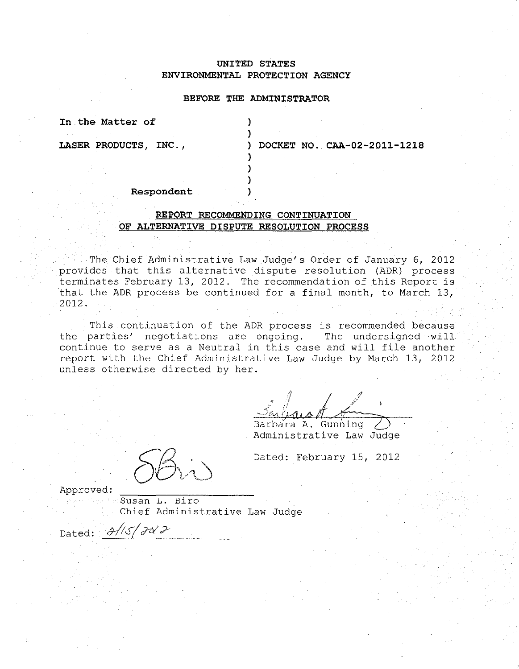# **UNITED STATES ENVIRONMENTAL PROTECTION AGENCY**

### **BEFORE THE ADMINISTRATOR**

)

) ) )

**In the Matter of** )

**LASER PRODUCTS, INC.,** ) **DOCKET NO. CAA-02-2011-1218** 

#### **Respondent** )

# **REPORT RECOMMENDING CONTINUATION OF ALTERNATIVE DISPUTE RESOLUTION PROCESS**

The Chief Administrative Law Judge's Order of January 6, 2012 provides that this alternative dispute resolution (ADR) process terminates February 13, 2012. The recommendation of this Report is that the ADR process be continued for a final month, to March 13, 2012.

This continuation of the ADR process is recommended because the parties' negotiations are ongoing. The undersigned will continue to serve as a Neutral in this case and will file another report with the Chief Administrative Law Judge by March 13, 2012 unless otherwise directed by her.

Barbara A. Gunning Administrative Law Judge

Dated: February 15, 2012

Approved:

Susan L. Biro Chief Administrative Law Judge

Dated:  $\frac{\partial}{\partial s}/\frac{\partial s}{\partial t}$